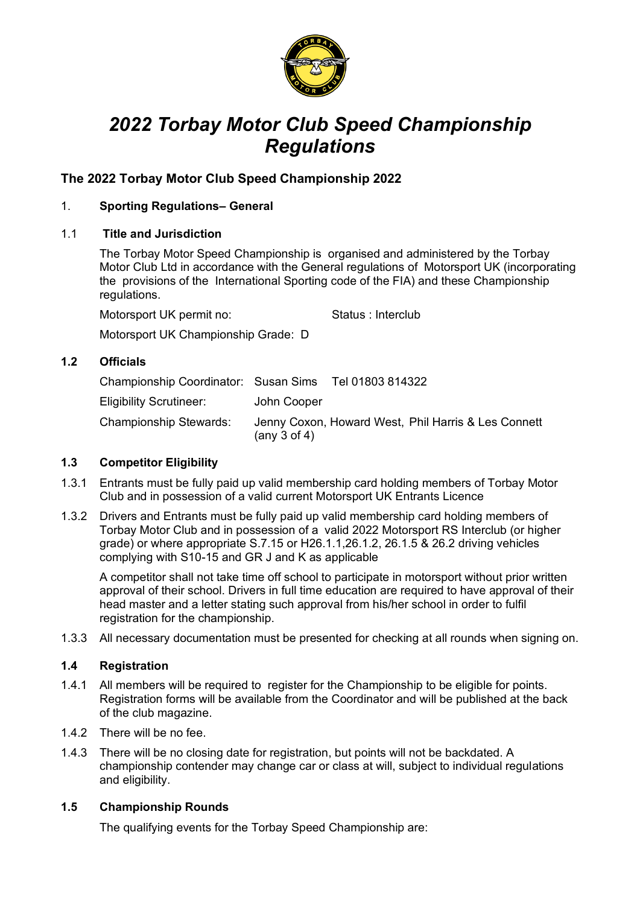

# *2022 Torbay Motor Club Speed Championship Regulations*

## **The 2022 Torbay Motor Club Speed Championship 2022**

## 1. **Sporting Regulations– General**

#### 1.1 **Title and Jurisdiction**

The Torbay Motor Speed Championship is organised and administered by the Torbay Motor Club Ltd in accordance with the General regulations of Motorsport UK (incorporating the provisions of the International Sporting code of the FIA) and these Championship regulations.

Motorsport UK permit no: Status : Interclub

Motorsport UK Championship Grade: D

## **1.2 Officials**

| Championship Coordinator: Susan Sims Tel 01803 814322 |                   |                                                     |
|-------------------------------------------------------|-------------------|-----------------------------------------------------|
| Eligibility Scrutineer:                               | John Cooper       |                                                     |
| Championship Stewards:                                | (any $3$ of $4$ ) | Jenny Coxon, Howard West, Phil Harris & Les Connett |

#### **1.3 Competitor Eligibility**

- 1.3.1 Entrants must be fully paid up valid membership card holding members of Torbay Motor Club and in possession of a valid current Motorsport UK Entrants Licence
- 1.3.2 Drivers and Entrants must be fully paid up valid membership card holding members of Torbay Motor Club and in possession of a valid 2022 Motorsport RS Interclub (or higher grade) or where appropriate S.7.15 or H26.1.1,26.1.2, 26.1.5 & 26.2 driving vehicles complying with S10-15 and GR J and K as applicable

A competitor shall not take time off school to participate in motorsport without prior written approval of their school. Drivers in full time education are required to have approval of their head master and a letter stating such approval from his/her school in order to fulfil registration for the championship.

1.3.3 All necessary documentation must be presented for checking at all rounds when signing on.

## **1.4 Registration**

- 1.4.1 All members will be required to register for the Championship to be eligible for points. Registration forms will be available from the Coordinator and will be published at the back of the club magazine.
- 1.4.2 There will be no fee.
- 1.4.3 There will be no closing date for registration, but points will not be backdated. A championship contender may change car or class at will, subject to individual regulations and eligibility.

#### **1.5 Championship Rounds**

The qualifying events for the Torbay Speed Championship are: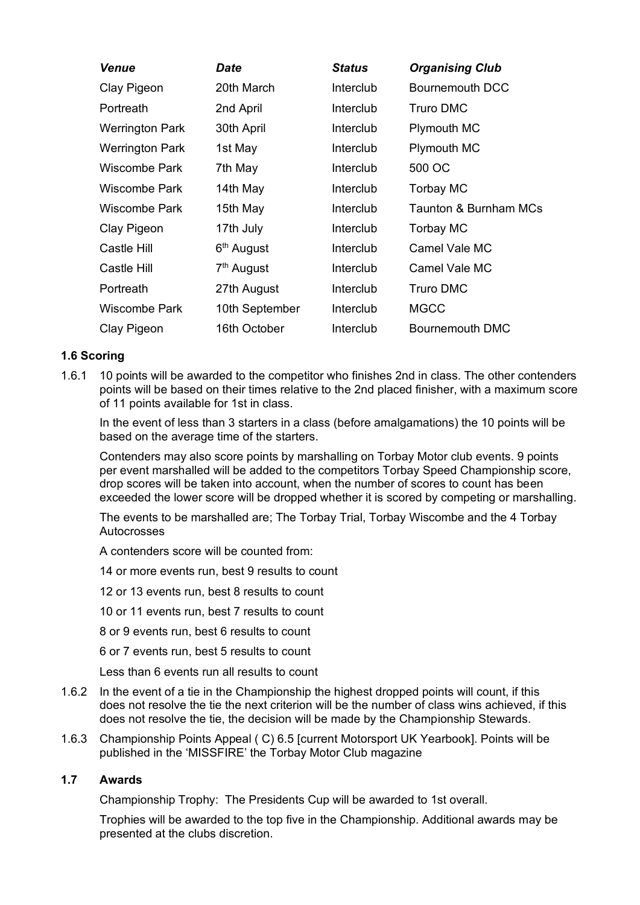| <b>Venue</b>    | Date                   | <b>Status</b> | <b>Organising Club</b>           |
|-----------------|------------------------|---------------|----------------------------------|
| Clay Pigeon     | 20th March             | Interclub     | <b>Bournemouth DCC</b>           |
| Portreath       | 2nd April              | Interclub     | <b>Truro DMC</b>                 |
| Werrington Park | 30th April             | Interclub     | <b>Plymouth MC</b>               |
| Werrington Park | 1st May                | Interclub     | <b>Plymouth MC</b>               |
| Wiscombe Park   | 7th May                | Interclub     | 500 OC                           |
| Wiscombe Park   | 14th May               | Interclub     | Torbay MC                        |
| Wiscombe Park   | 15th May               | Interclub     | <b>Taunton &amp; Burnham MCs</b> |
| Clay Pigeon     | 17th July              | Interclub     | <b>Torbay MC</b>                 |
| Castle Hill     | 6 <sup>th</sup> August | Interclub     | Camel Vale MC                    |
| Castle Hill     | 7 <sup>th</sup> August | Interclub     | Camel Vale MC                    |
| Portreath       | 27th August            | Interclub     | <b>Truro DMC</b>                 |
| Wiscombe Park   | 10th September         | Interclub     | <b>MGCC</b>                      |
| Clay Pigeon     | 16th October           | Interclub     | <b>Bournemouth DMC</b>           |

## **1.6 Scoring**

1.6.1 10 points will be awarded to the competitor who finishes 2nd in class. The other contenders points will be based on their times relative to the 2nd placed finisher, with a maximum score of 11 points available for 1st in class.

In the event of less than 3 starters in a class (before amalgamations) the 10 points will be based on the average time of the starters.

Contenders may also score points by marshalling on Torbay Motor club events. 9 points per event marshalled will be added to the competitors Torbay Speed Championship score, drop scores will be taken into account, when the number of scores to count has been exceeded the lower score will be dropped whether it is scored by competing or marshalling.

The events to be marshalled are; The Torbay Trial, Torbay Wiscombe and the 4 Torbay Autocrosses

A contenders score will be counted from:

14 or more events run, best 9 results to count

12 or 13 events run, best 8 results to count

10 or 11 events run, best 7 results to count

8 or 9 events run, best 6 results to count

6 or 7 events run, best 5 results to count

Less than 6 events run all results to count

- 1.6.2 In the event of a tie in the Championship the highest dropped points will count, if this does not resolve the tie the next criterion will be the number of class wins achieved, if this does not resolve the tie, the decision will be made by the Championship Stewards.
- 1.6.3 Championship Points Appeal ( C) 6.5 [current Motorsport UK Yearbook]. Points will be published in the 'MISSFIRE' the Torbay Motor Club magazine

#### **1.7 Awards**

Championship Trophy: The Presidents Cup will be awarded to 1st overall.

Trophies will be awarded to the top five in the Championship. Additional awards may be presented at the clubs discretion.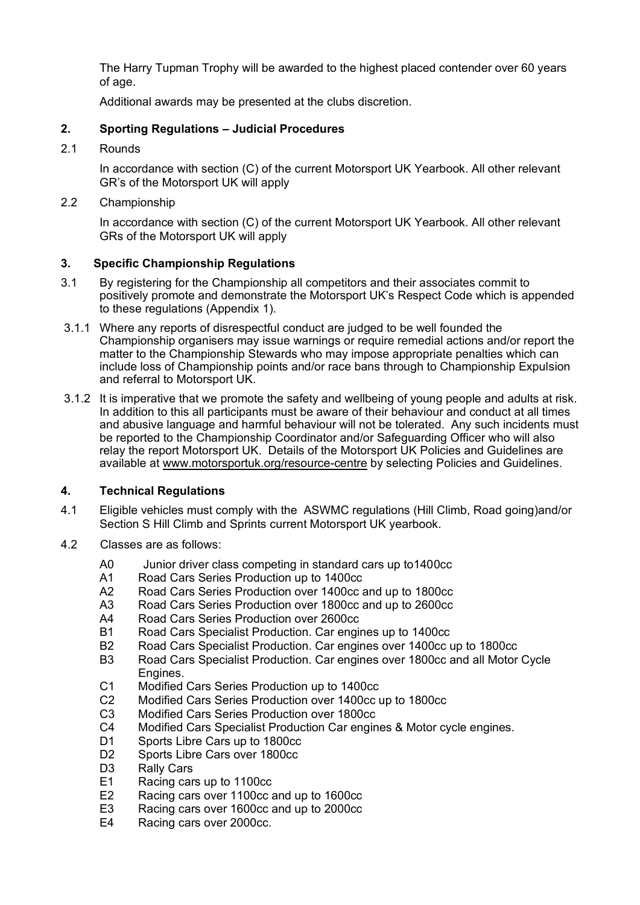The Harry Tupman Trophy will be awarded to the highest placed contender over 60 years of age.

Additional awards may be presented at the clubs discretion.

## **2. Sporting Regulations – Judicial Procedures**

2.1 Rounds

In accordance with section (C) of the current Motorsport UK Yearbook. All other relevant GR's of the Motorsport UK will apply

#### 2.2 Championship

In accordance with section (C) of the current Motorsport UK Yearbook. All other relevant GRs of the Motorsport UK will apply

#### **3. Specific Championship Regulations**

- 3.1 By registering for the Championship all competitors and their associates commit to positively promote and demonstrate the Motorsport UK's Respect Code which is appended to these regulations (Appendix 1).
- 3.1.1 Where any reports of disrespectful conduct are judged to be well founded the Championship organisers may issue warnings or require remedial actions and/or report the matter to the Championship Stewards who may impose appropriate penalties which can include loss of Championship points and/or race bans through to Championship Expulsion and referral to Motorsport UK.
- 3.1.2 It is imperative that we promote the safety and wellbeing of young people and adults at risk. In addition to this all participants must be aware of their behaviour and conduct at all times and abusive language and harmful behaviour will not be tolerated. Any such incidents must be reported to the Championship Coordinator and/or Safeguarding Officer who will also relay the report Motorsport UK. Details of the Motorsport UK Policies and Guidelines are available at [www.motorsportuk.org/resource-centre](http://www.motorsportuk.org/resource-centre) by selecting Policies and Guidelines.

#### **4. Technical Regulations**

- 4.1 Eligible vehicles must comply with the ASWMC regulations (Hill Climb, Road going)and/or Section S Hill Climb and Sprints current Motorsport UK yearbook.
- 4.2 Classes are as follows:
	- A0 Junior driver class competing in standard cars up to1400cc
	- A1 Road Cars Series Production up to 1400cc
	- A2 Road Cars Series Production over 1400cc and up to 1800cc
	- A3 Road Cars Series Production over 1800cc and up to 2600cc
	- A4 Road Cars Series Production over 2600cc
	- B1 Road Cars Specialist Production. Car engines up to 1400cc
	- B2 Road Cars Specialist Production. Car engines over 1400cc up to 1800cc
	- B3 Road Cars Specialist Production. Car engines over 1800cc and all Motor Cycle Engines.
	- C1 Modified Cars Series Production up to 1400cc
	- C2 Modified Cars Series Production over 1400cc up to 1800cc
	- C3 Modified Cars Series Production over 1800cc
	- C4 Modified Cars Specialist Production Car engines & Motor cycle engines.
	- D1 Sports Libre Cars up to 1800cc
	- D2 Sports Libre Cars over 1800cc
	- D<sub>3</sub> Rally Cars
	- E1 Racing cars up to 1100cc<br>E2 Racing cars over 1100cc a
	- E2 Racing cars over 1100cc and up to 1600cc<br>E3 Racing cars over 1600cc and up to 2000cc
	- Racing cars over 1600cc and up to 2000cc
	- E4 Racing cars over 2000cc.